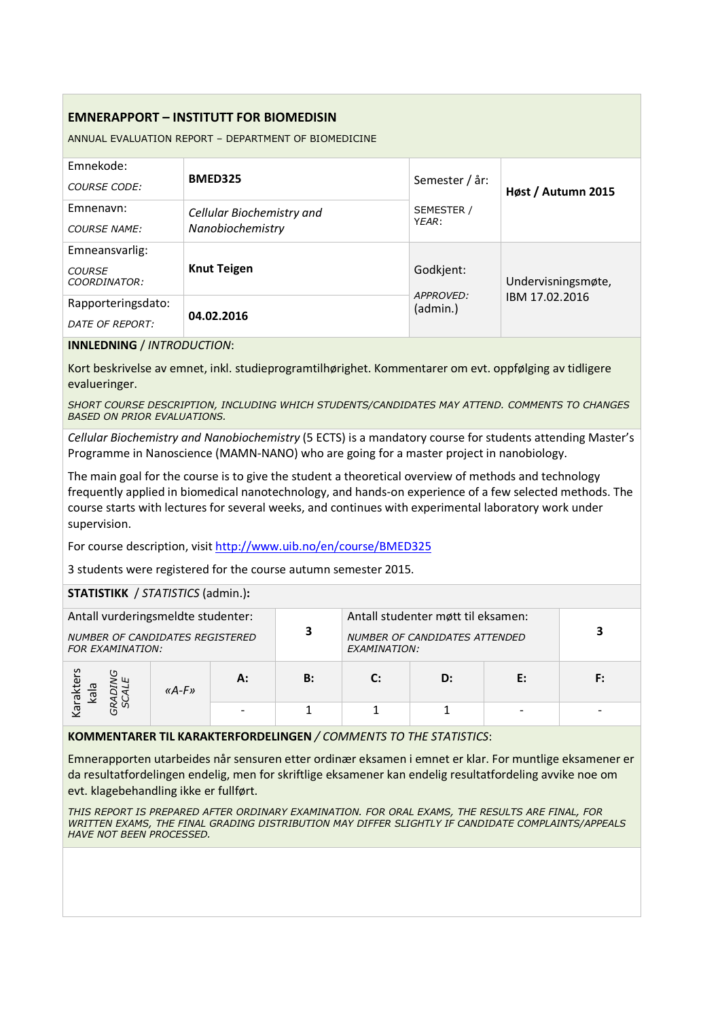## **EMNERAPPORT – INSTITUTT FOR BIOMEDISIN**

ANNUAL EVALUATION REPORT – DEPARTMENT OF BIOMEDICINE

| Emnekode:<br>COURSE CODE:                       | <b>BMED325</b>                                | Semester / år:        | Høst / Autumn 2015 |  |
|-------------------------------------------------|-----------------------------------------------|-----------------------|--------------------|--|
| Emnenavn:<br><b>COURSE NAME:</b>                | Cellular Biochemistry and<br>Nanobiochemistry | SEMESTER /<br>YFAR:   |                    |  |
| Emneansvarlig:<br><b>COURSE</b><br>COORDINATOR: | <b>Knut Teigen</b>                            | Godkjent:             | Undervisningsmøte, |  |
| Rapporteringsdato:<br>DATE OF REPORT:           | 04.02.2016                                    | APPROVED:<br>(admin.) | IBM 17.02.2016     |  |

**INNLEDNING** / *INTRODUCTION*:

Kort beskrivelse av emnet, inkl. studieprogramtilhørighet. Kommentarer om evt. oppfølging av tidligere evalueringer.

*SHORT COURSE DESCRIPTION, INCLUDING WHICH STUDENTS/CANDIDATES MAY ATTEND. COMMENTS TO CHANGES BASED ON PRIOR EVALUATIONS.*

*Cellular Biochemistry and Nanobiochemistry* (5 ECTS) is a mandatory course for students attending Master's Programme in Nanoscience (MAMN-NANO) who are going for a master project in nanobiology.

The main goal for the course is to give the student a theoretical overview of methods and technology frequently applied in biomedical nanotechnology, and hands-on experience of a few selected methods. The course starts with lectures for several weeks, and continues with experimental laboratory work under supervision.

For course description, visit http://www.uib.no/en/course/BMED325

3 students were registered for the course autumn semester 2015.

## **STATISTIKK** / *STATISTICS* (admin.)**:**

| Antall vurderingsmeldte studenter:<br>NUMBER OF CANDIDATES REGISTERED<br><b>FOR EXAMINATION:</b> |           |    | 3  | Antall studenter møtt til eksamen:<br>NUMBER OF CANDIDATES ATTENDED<br>EXAMINATION: |    |    |  |
|--------------------------------------------------------------------------------------------------|-----------|----|----|-------------------------------------------------------------------------------------|----|----|--|
| arakter<br>kala<br>∼                                                                             | « $A-F$ » | А: | B: | $\mathbf{C}$                                                                        | D: | F: |  |
|                                                                                                  |           |    |    |                                                                                     |    |    |  |

**KOMMENTARER TIL KARAKTERFORDELINGEN** */ COMMENTS TO THE STATISTICS*:

Emnerapporten utarbeides når sensuren etter ordinær eksamen i emnet er klar. For muntlige eksamener er da resultatfordelingen endelig, men for skriftlige eksamener kan endelig resultatfordeling avvike noe om evt. klagebehandling ikke er fullført.

*THIS REPORT IS PREPARED AFTER ORDINARY EXAMINATION. FOR ORAL EXAMS, THE RESULTS ARE FINAL, FOR WRITTEN EXAMS, THE FINAL GRADING DISTRIBUTION MAY DIFFER SLIGHTLY IF CANDIDATE COMPLAINTS/APPEALS HAVE NOT BEEN PROCESSED.*